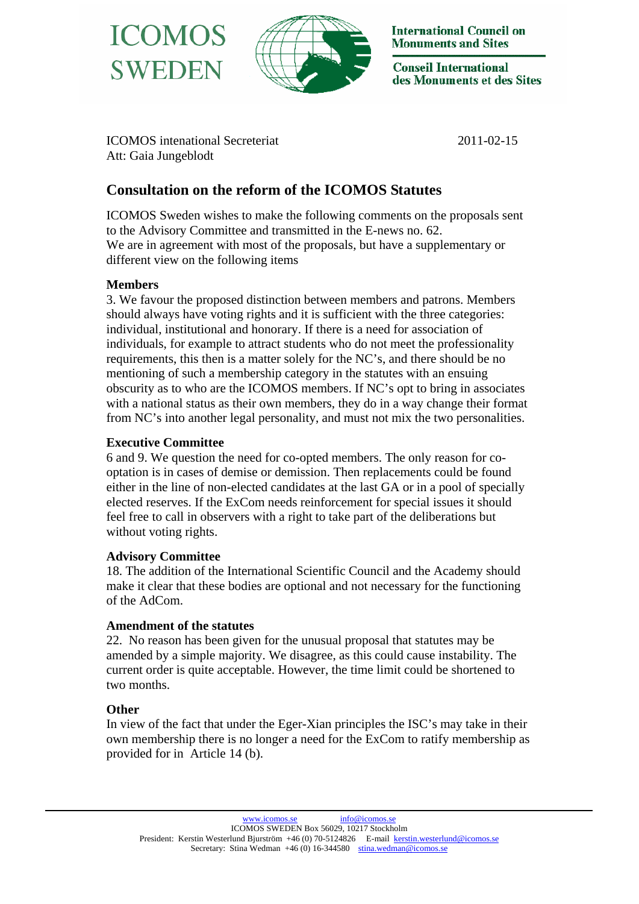



**International Council on Monuments and Sites** 

**Conseil International** des Monuments et des Sites

ICOMOS intenational Secreteriat 2011-02-15 Att: Gaia Jungeblodt

# **Consultation on the reform of the ICOMOS Statutes**

ICOMOS Sweden wishes to make the following comments on the proposals sent to the Advisory Committee and transmitted in the E-news no. 62. We are in agreement with most of the proposals, but have a supplementary or different view on the following items

#### **Members**

3. We favour the proposed distinction between members and patrons. Members should always have voting rights and it is sufficient with the three categories: individual, institutional and honorary. If there is a need for association of individuals, for example to attract students who do not meet the professionality requirements, this then is a matter solely for the NC's, and there should be no mentioning of such a membership category in the statutes with an ensuing obscurity as to who are the ICOMOS members. If NC's opt to bring in associates with a national status as their own members, they do in a way change their format from NC's into another legal personality, and must not mix the two personalities.

## **Executive Committee**

6 and 9. We question the need for co-opted members. The only reason for cooptation is in cases of demise or demission. Then replacements could be found either in the line of non-elected candidates at the last GA or in a pool of specially elected reserves. If the ExCom needs reinforcement for special issues it should feel free to call in observers with a right to take part of the deliberations but without voting rights.

## **Advisory Committee**

18. The addition of the International Scientific Council and the Academy should make it clear that these bodies are optional and not necessary for the functioning of the AdCom.

## **Amendment of the statutes**

22. No reason has been given for the unusual proposal that statutes may be amended by a simple majority. We disagree, as this could cause instability. The current order is quite acceptable. However, the time limit could be shortened to two months.

## **Other**

In view of the fact that under the Eger-Xian principles the ISC's may take in their own membership there is no longer a need for the ExCom to ratify membership as provided for in Article 14 (b).